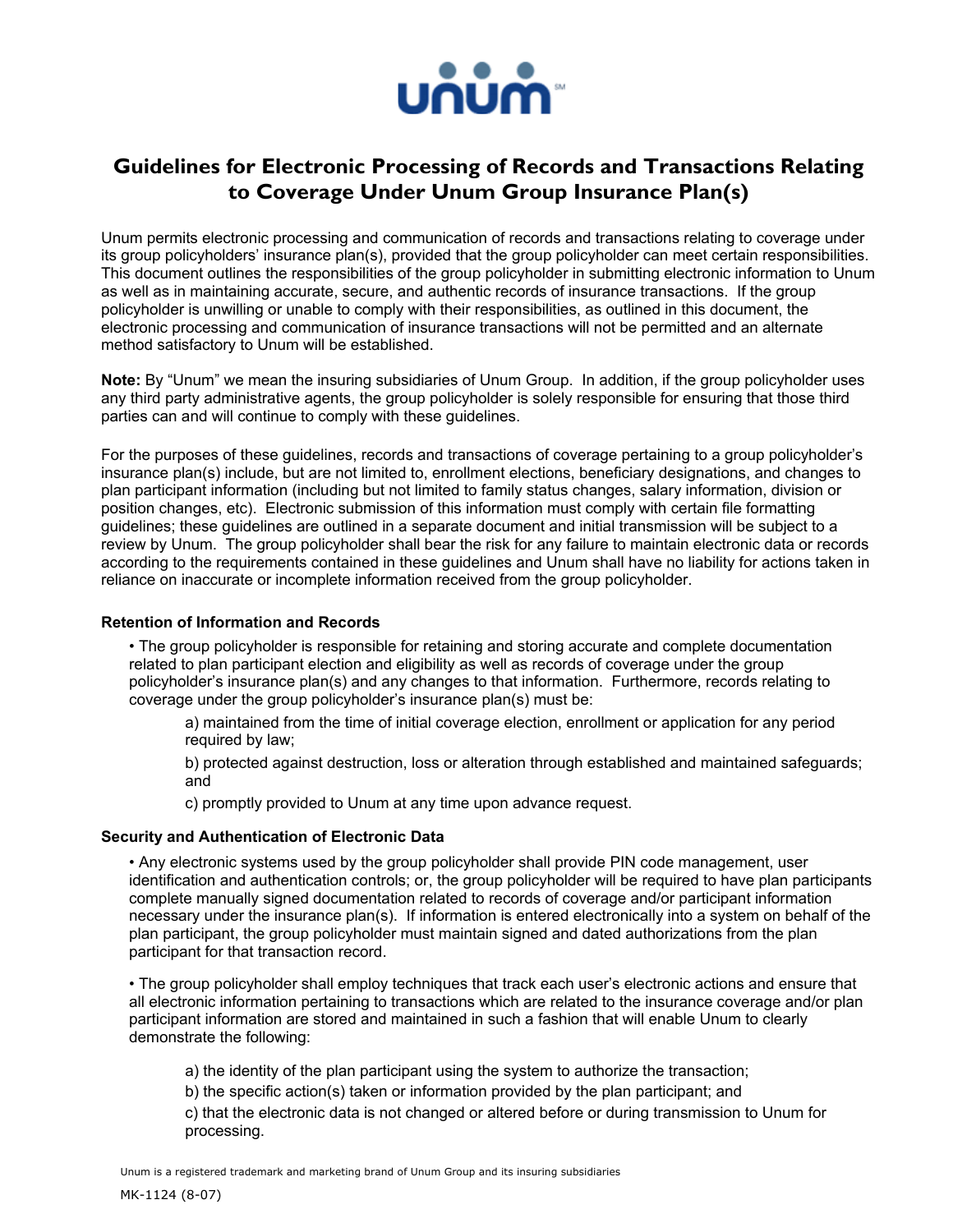

## **Guidelines for Electronic Processing of Records and Transactions Relating to Coverage Under Unum Group Insurance Plan(s)**

Unum permits electronic processing and communication of records and transactions relating to coverage under its group policyholders' insurance plan(s), provided that the group policyholder can meet certain responsibilities. This document outlines the responsibilities of the group policyholder in submitting electronic information to Unum as well as in maintaining accurate, secure, and authentic records of insurance transactions. If the group policyholder is unwilling or unable to comply with their responsibilities, as outlined in this document, the electronic processing and communication of insurance transactions will not be permitted and an alternate method satisfactory to Unum will be established.

**Note:** By "Unum" we mean the insuring subsidiaries of Unum Group. In addition, if the group policyholder uses any third party administrative agents, the group policyholder is solely responsible for ensuring that those third parties can and will continue to comply with these guidelines.

For the purposes of these guidelines, records and transactions of coverage pertaining to a group policyholder's insurance plan(s) include, but are not limited to, enrollment elections, beneficiary designations, and changes to plan participant information (including but not limited to family status changes, salary information, division or position changes, etc). Electronic submission of this information must comply with certain file formatting guidelines; these guidelines are outlined in a separate document and initial transmission will be subject to a review by Unum. The group policyholder shall bear the risk for any failure to maintain electronic data or records according to the requirements contained in these guidelines and Unum shall have no liability for actions taken in reliance on inaccurate or incomplete information received from the group policyholder.

## **Retention of Information and Records**

 • The group policyholder is responsible for retaining and storing accurate and complete documentation related to plan participant election and eligibility as well as records of coverage under the group policyholder's insurance plan(s) and any changes to that information. Furthermore, records relating to coverage under the group policyholder's insurance plan(s) must be:

 a) maintained from the time of initial coverage election, enrollment or application for any period required by law;

 b) protected against destruction, loss or alteration through established and maintained safeguards; and

c) promptly provided to Unum at any time upon advance request.

## **Security and Authentication of Electronic Data**

 • Any electronic systems used by the group policyholder shall provide PIN code management, user identification and authentication controls; or, the group policyholder will be required to have plan participants complete manually signed documentation related to records of coverage and/or participant information necessary under the insurance plan(s). If information is entered electronically into a system on behalf of the plan participant, the group policyholder must maintain signed and dated authorizations from the plan participant for that transaction record.

 • The group policyholder shall employ techniques that track each user's electronic actions and ensure that all electronic information pertaining to transactions which are related to the insurance coverage and/or plan participant information are stored and maintained in such a fashion that will enable Unum to clearly demonstrate the following:

a) the identity of the plan participant using the system to authorize the transaction;

b) the specific action(s) taken or information provided by the plan participant; and

 c) that the electronic data is not changed or altered before or during transmission to Unum for processing.